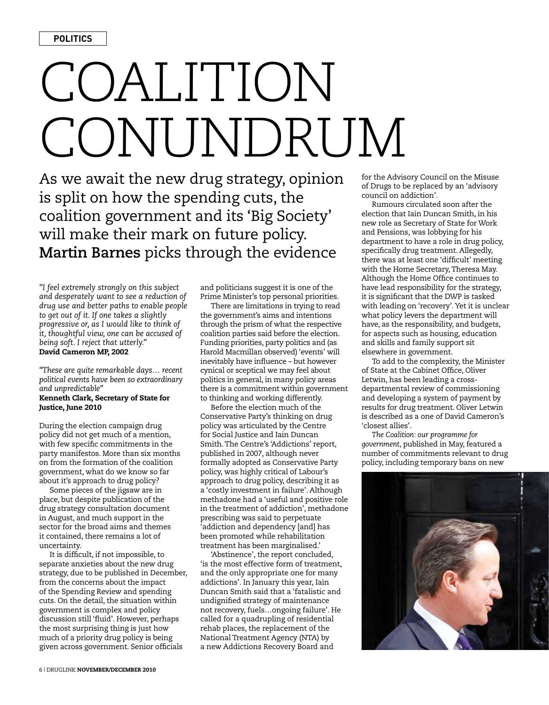## COALITION CONUNDRUM

As we await the new drug strategy, opinion is split on how the spending cuts, the coalition government and its 'Big Society' will make their mark on future policy. **Martin Barnes** picks through the evidence

*"I feel extremely strongly on this subject and desperately want to see a reduction of drug use and better paths to enable people to get out of it. If one takes a slightly progressive or, as I would like to think of it, thoughtful view, one can be accused of being soft. I reject that utterly."* David Cameron MP, 2002

*"These are quite remarkable days… recent political events have been so extraordinary and unpredictable"* Kenneth Clark, Secretary of State for Justice, June 2010

During the election campaign drug policy did not get much of a mention, with few specific commitments in the party manifestos. More than six months on from the formation of the coalition government, what do we know so far about it's approach to drug policy?

Some pieces of the jigsaw are in place, but despite publication of the drug strategy consultation document in August, and much support in the sector for the broad aims and themes it contained, there remains a lot of uncertainty.

It is difficult, if not impossible, to separate anxieties about the new drug strategy, due to be published in December, from the concerns about the impact of the Spending Review and spending cuts. On the detail, the situation within government is complex and policy discussion still 'fluid'. However, perhaps the most surprising thing is just how much of a priority drug policy is being given across government. Senior officials

and politicians suggest it is one of the Prime Minister's top personal priorities.

There are limitations in trying to read the government's aims and intentions through the prism of what the respective coalition parties said before the election. Funding priorities, party politics and (as Harold Macmillan observed) 'events' will inevitably have influence – but however cynical or sceptical we may feel about politics in general, in many policy areas there is a commitment within government to thinking and working differently.

Before the election much of the Conservative Party's thinking on drug policy was articulated by the Centre for Social Justice and Iain Duncan Smith. The Centre's 'Addictions' report, published in 2007, although never formally adopted as Conservative Party policy, was highly critical of Labour's approach to drug policy, describing it as a 'costly investment in failure'. Although methadone had a 'useful and positive role in the treatment of addiction', methadone prescribing was said to perpetuate 'addiction and dependency [and] has been promoted while rehabilitation treatment has been marginalised.'

'Abstinence', the report concluded, 'is the most effective form of treatment, and the only appropriate one for many addictions'. In January this year, Iain Duncan Smith said that a 'fatalistic and undignified strategy of maintenance not recovery, fuels…ongoing failure'. He called for a quadrupling of residential rehab places, the replacement of the National Treatment Agency (NTA) by a new Addictions Recovery Board and

for the Advisory Council on the Misuse of Drugs to be replaced by an 'advisory council on addiction'.

Rumours circulated soon after the election that Iain Duncan Smith, in his new role as Secretary of State for Work and Pensions, was lobbying for his department to have a role in drug policy, specifically drug treatment. Allegedly, there was at least one 'difficult' meeting with the Home Secretary, Theresa May. Although the Home Office continues to have lead responsibility for the strategy, it is significant that the DWP is tasked with leading on 'recovery'. Yet it is unclear what policy levers the department will have, as the responsibility, and budgets, for aspects such as housing, education and skills and family support sit elsewhere in government.

To add to the complexity, the Minister of State at the Cabinet Office, Oliver Letwin, has been leading a crossdepartmental review of commissioning and developing a system of payment by results for drug treatment. Oliver Letwin is described as a one of David Cameron's 'closest allies'.

*The Coalition: our programme for government*, published in May, featured a number of commitments relevant to drug policy, including temporary bans on new